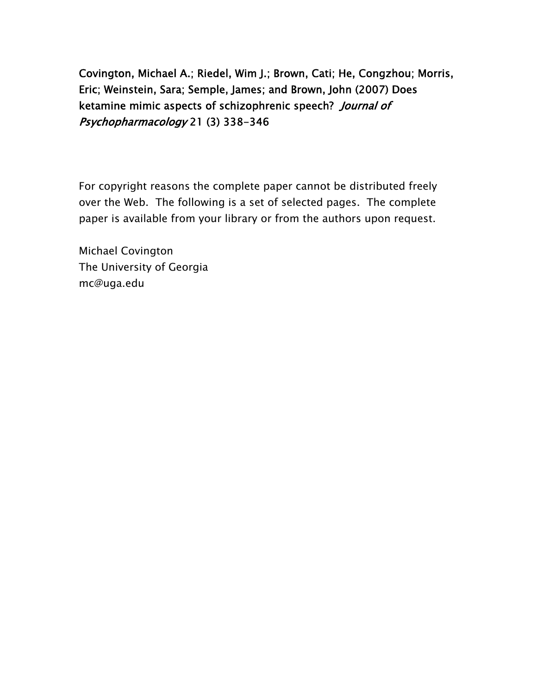Covington, Michael A.; Riedel, Wim J.; Brown, Cati; He, Congzhou; Morris, Eric; Weinstein, Sara; Semple, James; and Brown, John (2007) Does ketamine mimic aspects of schizophrenic speech? Journal of Psychopharmacology 21 (3) 338-346

For copyright reasons the complete paper cannot be distributed freely over the Web. The following is a set of selected pages. The complete paper is available from your library or from the authors upon request.

Michael Covington The University of Georgia mc@uga.edu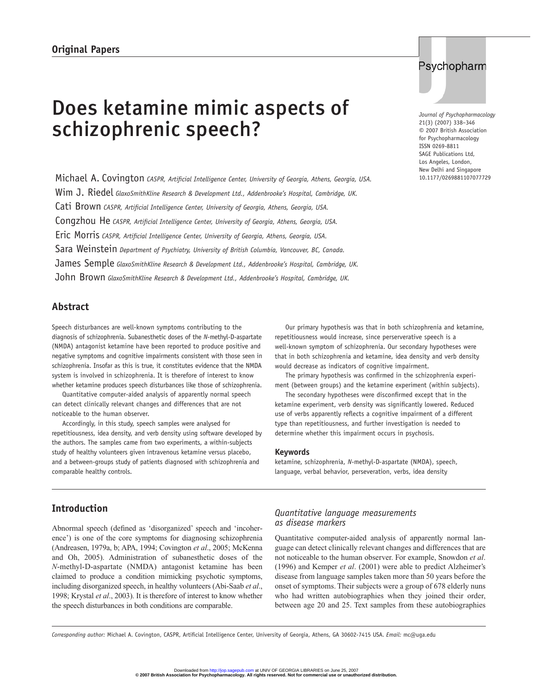# Does ketamine mimic aspects of schizophrenic speech?

Michael A. Covington *CASPR, Artificial Intelligence Center, University of Georgia, Athens, Georgia, USA.* Wim J. Riedel *GlaxoSmithKline Research & Development Ltd., Addenbrooke's Hospital, Cambridge, UK.* Cati Brown *CASPR, Artificial Intelligence Center, University of Georgia, Athens, Georgia, USA.* Congzhou He *CASPR, Artificial Intelligence Center, University of Georgia, Athens, Georgia, USA.* Eric Morris *CASPR, Artificial Intelligence Center, University of Georgia, Athens, Georgia, USA.* Sara Weinstein *Department of Psychiatry, University of British Columbia, Vancouver, BC, Canada.* James Semple *GlaxoSmithKline Research & Development Ltd., Addenbrooke's Hospital, Cambridge, UK.* John Brown *GlaxoSmithKline Research & Development Ltd., Addenbrooke's Hospital, Cambridge, UK.*

# Psychopharm

*Journal of Psychopharmacology* 21(3) (2007) 338–346 © 2007 British Association for Psychopharmacology ISSN 0269-8811 SAGE Publications Ltd, Los Angeles, London, New Delhi and Singapore 10.1177/0269881107077729

# **Abstract**

Speech disturbances are well-known symptoms contributing to the diagnosis of schizophrenia. Subanesthetic doses of the *N*-methyl-D-aspartate (NMDA) antagonist ketamine have been reported to produce positive and negative symptoms and cognitive impairments consistent with those seen in schizophrenia. Insofar as this is true, it constitutes evidence that the NMDA system is involved in schizophrenia. It is therefore of interest to know whether ketamine produces speech disturbances like those of schizophrenia.

Quantitative computer-aided analysis of apparently normal speech can detect clinically relevant changes and differences that are not noticeable to the human observer.

Accordingly, in this study, speech samples were analysed for repetitiousness, idea density, and verb density using software developed by the authors. The samples came from two experiments, a within-subjects study of healthy volunteers given intravenous ketamine versus placebo, and a between-groups study of patients diagnosed with schizophrenia and comparable healthy controls.

Our primary hypothesis was that in both schizophrenia and ketamine, repetitiousness would increase, since perserverative speech is a well-known symptom of schizophrenia. Our secondary hypotheses were that in both schizophrenia and ketamine, idea density and verb density would decrease as indicators of cognitive impairment.

The primary hypothesis was confirmed in the schizophrenia experiment (between groups) and the ketamine experiment (within subjects).

The secondary hypotheses were disconfirmed except that in the ketamine experiment, verb density was significantly lowered. Reduced use of verbs apparently reflects a cognitive impairment of a different type than repetitiousness, and further investigation is needed to determine whether this impairment occurs in psychosis.

#### **Keywords**

ketamine, schizophrenia, *N*-methyl-D-aspartate (NMDA), speech, language, verbal behavior, perseveration, verbs, idea density

# **Introduction**

Abnormal speech (defined as 'disorganized' speech and 'incoherence') is one of the core symptoms for diagnosing schizophrenia (Andreasen, 1979a, b; APA, 1994; Covington *et al*., 2005; McKenna and Oh, 2005). Administration of subanesthetic doses of the *N*-methyl-D-aspartate (NMDA) antagonist ketamine has been claimed to produce a condition mimicking psychotic symptoms, including disorganized speech, in healthy volunteers (Abi-Saab *et al*., 1998; Krystal *et al*., 2003). It is therefore of interest to know whether the speech disturbances in both conditions are comparable.

#### *Quantitative language measurements as disease markers*

Quantitative computer-aided analysis of apparently normal language can detect clinically relevant changes and differences that are not noticeable to the human observer. For example, Snowdon *et al*. (1996) and Kemper *et al*. (2001) were able to predict Alzheimer's disease from language samples taken more than 50 years before the onset of symptoms. Their subjects were a group of 678 elderly nuns who had written autobiographies when they joined their order, between age 20 and 25. Text samples from these autobiographies

*Corresponding author:* Michael A. Covington, CASPR, Artificial Intelligence Center, University of Georgia, Athens, GA 30602-7415 USA. *Email:* mc@uga.edu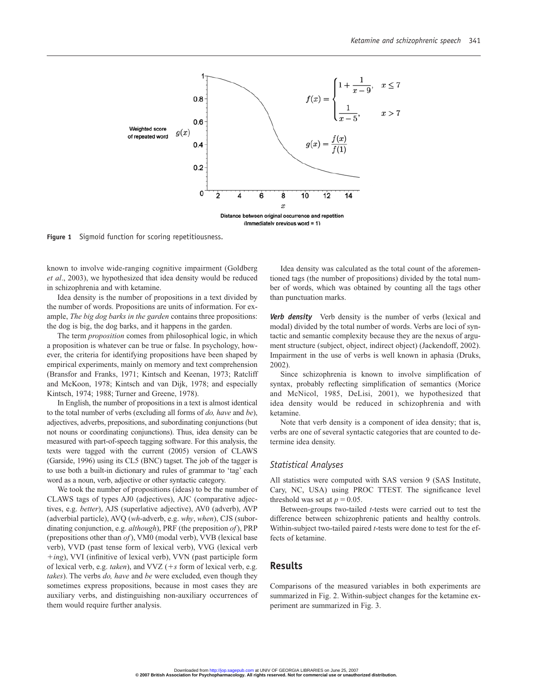

**Figure 1** Sigmoid function for scoring repetitiousness.

known to involve wide-ranging cognitive impairment (Goldberg *et al*., 2003), we hypothesized that idea density would be reduced in schizophrenia and with ketamine.

Idea density is the number of propositions in a text divided by the number of words. Propositions are units of information. For example, *The big dog barks in the garden* contains three propositions: the dog is big, the dog barks, and it happens in the garden.

The term *proposition* comes from philosophical logic, in which a proposition is whatever can be true or false. In psychology, however, the criteria for identifying propositions have been shaped by empirical experiments, mainly on memory and text comprehension (Bransfor and Franks, 1971; Kintsch and Keenan, 1973; Ratcliff and McKoon, 1978; Kintsch and van Dijk, 1978; and especially Kintsch, 1974; 1988; Turner and Greene, 1978).

In English, the number of propositions in a text is almost identical to the total number of verbs (excluding all forms of *do, have* and *be*), adjectives, adverbs, prepositions, and subordinating conjunctions (but not nouns or coordinating conjunctions). Thus, idea density can be measured with part-of-speech tagging software. For this analysis, the texts were tagged with the current (2005) version of CLAWS (Garside, 1996) using its CL5 (BNC) tagset. The job of the tagger is to use both a built-in dictionary and rules of grammar to 'tag' each word as a noun, verb, adjective or other syntactic category.

We took the number of propositions (ideas) to be the number of CLAWS tags of types AJ0 (adjectives), AJC (comparative adjectives, e.g. *better*), AJS (superlative adjective), AV0 (adverb), AVP (adverbial particle), AVQ (*wh*-adverb, e.g. *why*, *when*), CJS (subordinating conjunction, e.g. *although*), PRF (the preposition *of*), PRP (prepositions other than *of*), VM0 (modal verb), VVB (lexical base verb), VVD (past tense form of lexical verb), VVG (lexical verb *ing*), VVI (infinitive of lexical verb), VVN (past participle form of lexical verb, e.g. *taken*), and VVZ (*s* form of lexical verb, e.g. *takes*). The verbs *do, have* and *be* were excluded, even though they sometimes express propositions, because in most cases they are auxiliary verbs, and distinguishing non-auxiliary occurrences of them would require further analysis.

Idea density was calculated as the total count of the aforementioned tags (the number of propositions) divided by the total number of words, which was obtained by counting all the tags other than punctuation marks.

*Verb density* Verb density is the number of verbs (lexical and modal) divided by the total number of words. Verbs are loci of syntactic and semantic complexity because they are the nexus of argument structure (subject, object, indirect object) (Jackendoff, 2002). Impairment in the use of verbs is well known in aphasia (Druks, 2002).

Since schizophrenia is known to involve simplification of syntax, probably reflecting simplification of semantics (Morice and McNicol, 1985, DeLisi, 2001), we hypothesized that idea density would be reduced in schizophrenia and with ketamine.

Note that verb density is a component of idea density; that is, verbs are one of several syntactic categories that are counted to determine idea density.

#### *Statistical Analyses*

All statistics were computed with SAS version 9 (SAS Institute, Cary, NC, USA) using PROC TTEST. The significance level threshold was set at  $p = 0.05$ .

Between-groups two-tailed *t*-tests were carried out to test the difference between schizophrenic patients and healthy controls. Within-subject two-tailed paired *t*-tests were done to test for the effects of ketamine.

#### **Results**

Comparisons of the measured variables in both experiments are summarized in Fig. 2. Within-subject changes for the ketamine experiment are summarized in Fig. 3.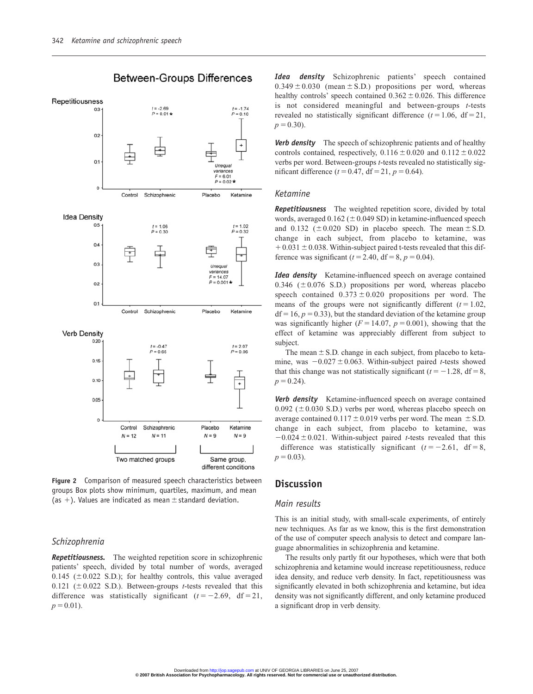

**Between-Groups Differences** 

**Figure 2** Comparison of measured speech characteristics between groups Box plots show minimum, quartiles, maximum, and mean (as  $+$ ). Values are indicated as mean  $\pm$  standard deviation.

# *Schizophrenia*

*Repetitiousness.* The weighted repetition score in schizophrenic patients' speech, divided by total number of words, averaged 0.145 ( $\pm$ 0.022 S.D.); for healthy controls, this value averaged 0.121 ( $\pm$  0.022 S.D.). Between-groups *t*-tests revealed that this difference was statistically significant  $(t = -2.69, df = 21,$  $p = 0.01$ ).

*Idea density* Schizophrenic patients' speech contained  $0.349 \pm 0.030$  (mean  $\pm$  S.D.) propositions per word, whereas healthy controls' speech contained  $0.362 \pm 0.026$ . This difference is not considered meaningful and between-groups *t*-tests revealed no statistically significant difference  $(t = 1.06, df = 21,$  $p = 0.30$ ).

*Verb density* The speech of schizophrenic patients and of healthy controls contained, respectively,  $0.116 \pm 0.020$  and  $0.112 \pm 0.022$ verbs per word. Between-groups *t*-tests revealed no statistically significant difference  $(t = 0.47, df = 21, p = 0.64)$ .

## *Ketamine*

*Repetitiousness* The weighted repetition score, divided by total words, averaged  $0.162 (\pm 0.049 \text{ SD})$  in ketamine-influenced speech and 0.132 ( $\pm$  0.020 SD) in placebo speech. The mean  $\pm$  S.D. change in each subject, from placebo to ketamine, was  $+0.031 \pm 0.038$ . Within-subject paired t-tests revealed that this difference was significant ( $t = 2.40$ , df = 8,  $p = 0.04$ ).

*Idea density* Ketamine-influenced speech on average contained 0.346 ( $\pm$  0.076 S.D.) propositions per word, whereas placebo speech contained  $0.373 \pm 0.020$  propositions per word. The means of the groups were not significantly different  $(t = 1.02,$  $df = 16, p = 0.33$ , but the standard deviation of the ketamine group was significantly higher  $(F = 14.07, p = 0.001)$ , showing that the effect of ketamine was appreciably different from subject to subject.

The mean  $\pm$  S.D. change in each subject, from placebo to ketamine, was  $-0.027 \pm 0.063$ . Within-subject paired *t*-tests showed that this change was not statistically significant  $(t = -1.28, df = 8,$  $p = 0.24$ .

*Verb density* Ketamine-influenced speech on average contained 0.092 ( $\pm$ 0.030 S.D.) verbs per word, whereas placebo speech on average contained  $0.117 \pm 0.019$  verbs per word. The mean  $\pm$  S.D. change in each subject, from placebo to ketamine, was  $-0.024 \pm 0.021$ . Within-subject paired *t*-tests revealed that this difference was statistically significant  $(t = -2.61, df = 8,$  $p = 0.03$ ).

# **Discussion**

#### *Main results*

This is an initial study, with small-scale experiments, of entirely new techniques. As far as we know, this is the first demonstration of the use of computer speech analysis to detect and compare language abnormalities in schizophrenia and ketamine.

The results only partly fit our hypotheses, which were that both schizophrenia and ketamine would increase repetitiousness, reduce idea density, and reduce verb density. In fact, repetitiousness was significantly elevated in both schizophrenia and ketamine, but idea density was not significantly different, and only ketamine produced a significant drop in verb density.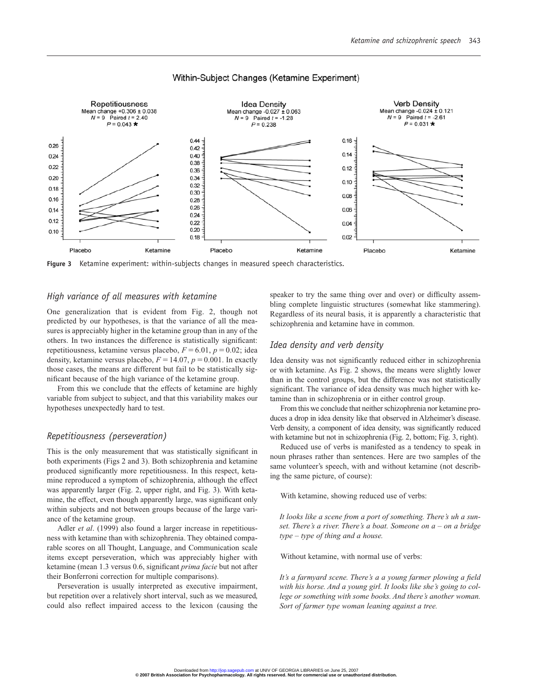

## Within-Subject Changes (Ketamine Experiment)

**Figure 3** Ketamine experiment: within-subjects changes in measured speech characteristics.

## *High variance of all measures with ketamine*

One generalization that is evident from Fig. 2, though not predicted by our hypotheses, is that the variance of all the measures is appreciably higher in the ketamine group than in any of the others. In two instances the difference is statistically significant: repetitiousness, ketamine versus placebo,  $F = 6.01$ ,  $p = 0.02$ ; idea density, ketamine versus placebo,  $F = 14.07$ ,  $p = 0.001$ . In exactly those cases, the means are different but fail to be statistically significant because of the high variance of the ketamine group.

From this we conclude that the effects of ketamine are highly variable from subject to subject, and that this variability makes our hypotheses unexpectedly hard to test.

#### *Repetitiousness (perseveration)*

This is the only measurement that was statistically significant in both experiments (Figs 2 and 3). Both schizophrenia and ketamine produced significantly more repetitiousness. In this respect, ketamine reproduced a symptom of schizophrenia, although the effect was apparently larger (Fig. 2, upper right, and Fig. 3). With ketamine, the effect, even though apparently large, was significant only within subjects and not between groups because of the large variance of the ketamine group.

Adler *et al*. (1999) also found a larger increase in repetitiousness with ketamine than with schizophrenia. They obtained comparable scores on all Thought, Language, and Communication scale items except perseveration, which was appreciably higher with ketamine (mean 1.3 versus 0.6, significant *prima facie* but not after their Bonferroni correction for multiple comparisons).

Perseveration is usually interpreted as executive impairment, but repetition over a relatively short interval, such as we measured, could also reflect impaired access to the lexicon (causing the speaker to try the same thing over and over) or difficulty assembling complete linguistic structures (somewhat like stammering). Regardless of its neural basis, it is apparently a characteristic that schizophrenia and ketamine have in common.

#### *Idea density and verb density*

Idea density was not significantly reduced either in schizophrenia or with ketamine. As Fig. 2 shows, the means were slightly lower than in the control groups, but the difference was not statistically significant. The variance of idea density was much higher with ketamine than in schizophrenia or in either control group.

From this we conclude that neither schizophrenia nor ketamine produces a drop in idea density like that observed in Alzheimer's disease. Verb density, a component of idea density, was significantly reduced with ketamine but not in schizophrenia (Fig. 2, bottom; Fig. 3, right).

Reduced use of verbs is manifested as a tendency to speak in noun phrases rather than sentences. Here are two samples of the same volunteer's speech, with and without ketamine (not describing the same picture, of course):

With ketamine, showing reduced use of verbs:

*It looks like a scene from a port of something. There's uh a sunset. There's a river. There's a boat. Someone on a* – *on a bridge type* – *type of thing and a house.*

Without ketamine, with normal use of verbs:

*It's a farmyard scene. There's a a young farmer plowing a field with his horse. And a young girl. It looks like she's going to college or something with some books. And there's another woman. Sort of farmer type woman leaning against a tree.*